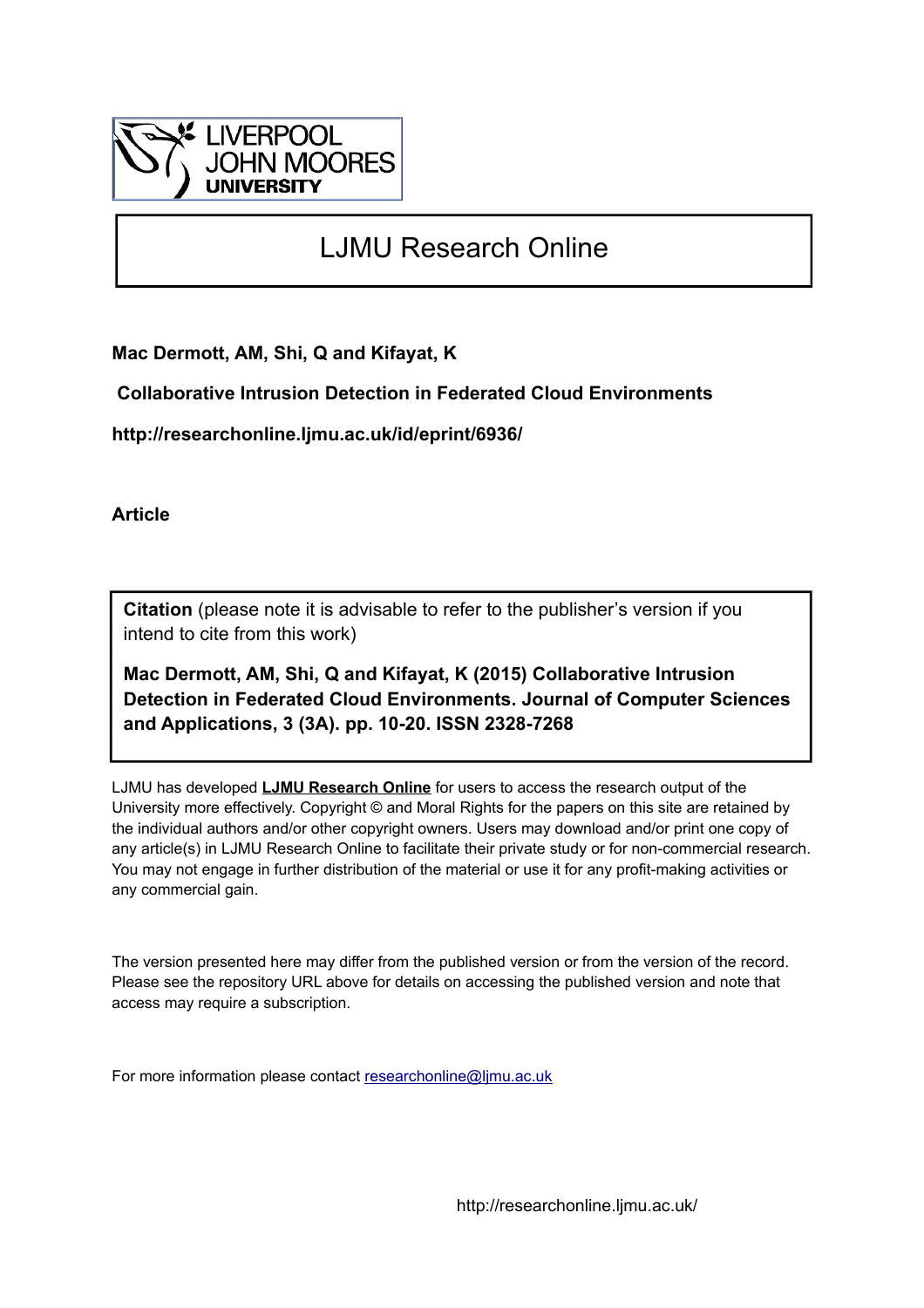

# LJMU Research Online

**Mac Dermott, AM, Shi, Q and Kifayat, K**

 **Collaborative Intrusion Detection in Federated Cloud Environments**

**http://researchonline.ljmu.ac.uk/id/eprint/6936/**

**Article**

**Citation** (please note it is advisable to refer to the publisher's version if you intend to cite from this work)

**Mac Dermott, AM, Shi, Q and Kifayat, K (2015) Collaborative Intrusion Detection in Federated Cloud Environments. Journal of Computer Sciences and Applications, 3 (3A). pp. 10-20. ISSN 2328-7268** 

LJMU has developed **[LJMU Research Online](http://researchonline.ljmu.ac.uk/)** for users to access the research output of the University more effectively. Copyright © and Moral Rights for the papers on this site are retained by the individual authors and/or other copyright owners. Users may download and/or print one copy of any article(s) in LJMU Research Online to facilitate their private study or for non-commercial research. You may not engage in further distribution of the material or use it for any profit-making activities or any commercial gain.

The version presented here may differ from the published version or from the version of the record. Please see the repository URL above for details on accessing the published version and note that access may require a subscription.

For more information please contact [researchonline@ljmu.ac.uk](mailto:researchonline@ljmu.ac.uk)

http://researchonline.ljmu.ac.uk/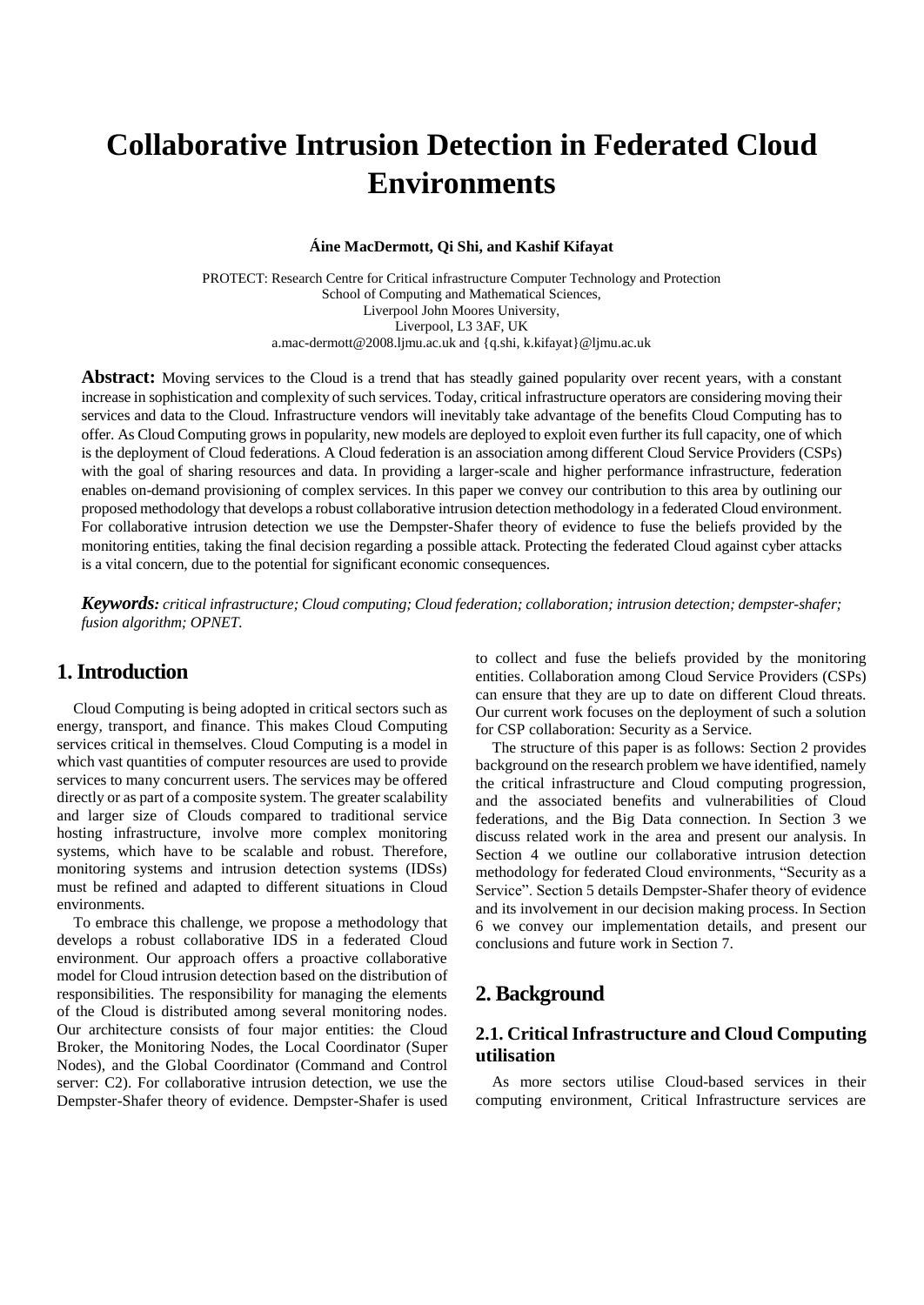# **Collaborative Intrusion Detection in Federated Cloud Environments**

**Áine MacDermott, Qi Shi, and Kashif Kifayat**

PROTECT: Research Centre for Critical infrastructure Computer Technology and Protection School of Computing and Mathematical Sciences, Liverpool John Moores University, Liverpool, L3 3AF, UK a.mac-dermott@2008.ljmu.ac.uk and {q.shi[, k.kifayat}@ljmu.ac.uk](mailto:k.kifayat%7d@ljmu.ac.uk)

**Abstract:** Moving services to the Cloud is a trend that has steadly gained popularity over recent years, with a constant increase in sophistication and complexity of such services. Today, critical infrastructure operators are considering moving their services and data to the Cloud. Infrastructure vendors will inevitably take advantage of the benefits Cloud Computing has to offer. As Cloud Computing grows in popularity, new models are deployed to exploit even further its full capacity, one of which is the deployment of Cloud federations. A Cloud federation is an association among different Cloud Service Providers (CSPs) with the goal of sharing resources and data. In providing a larger-scale and higher performance infrastructure, federation enables on-demand provisioning of complex services. In this paper we convey our contribution to this area by outlining our proposed methodology that develops a robust collaborative intrusion detection methodology in a federated Cloud environment. For collaborative intrusion detection we use the Dempster-Shafer theory of evidence to fuse the beliefs provided by the monitoring entities, taking the final decision regarding a possible attack. Protecting the federated Cloud against cyber attacks is a vital concern, due to the potential for significant economic consequences.

*Keywords: critical infrastructure; Cloud computing; Cloud federation; collaboration; intrusion detection; dempster-shafer; fusion algorithm; OPNET.*

# **1. Introduction**

Cloud Computing is being adopted in critical sectors such as energy, transport, and finance. This makes Cloud Computing services critical in themselves. Cloud Computing is a model in which vast quantities of computer resources are used to provide services to many concurrent users. The services may be offered directly or as part of a composite system. The greater scalability and larger size of Clouds compared to traditional service hosting infrastructure, involve more complex monitoring systems, which have to be scalable and robust. Therefore, monitoring systems and intrusion detection systems (IDSs) must be refined and adapted to different situations in Cloud environments.

To embrace this challenge, we propose a methodology that develops a robust collaborative IDS in a federated Cloud environment. Our approach offers a proactive collaborative model for Cloud intrusion detection based on the distribution of responsibilities. The responsibility for managing the elements of the Cloud is distributed among several monitoring nodes. Our architecture consists of four major entities: the Cloud Broker, the Monitoring Nodes, the Local Coordinator (Super Nodes), and the Global Coordinator (Command and Control server: C2). For collaborative intrusion detection, we use the Dempster-Shafer theory of evidence. Dempster-Shafer is used

to collect and fuse the beliefs provided by the monitoring entities. Collaboration among Cloud Service Providers (CSPs) can ensure that they are up to date on different Cloud threats. Our current work focuses on the deployment of such a solution for CSP collaboration: Security as a Service.

The structure of this paper is as follows: Section 2 provides background on the research problem we have identified, namely the critical infrastructure and Cloud computing progression, and the associated benefits and vulnerabilities of Cloud federations, and the Big Data connection. In Section 3 we discuss related work in the area and present our analysis. In Section 4 we outline our collaborative intrusion detection methodology for federated Cloud environments, "Security as a Service". Section 5 details Dempster-Shafer theory of evidence and its involvement in our decision making process. In Section 6 we convey our implementation details, and present our conclusions and future work in Section 7.

# **2. Background**

## **2.1. Critical Infrastructure and Cloud Computing utilisation**

As more sectors utilise Cloud-based services in their computing environment, Critical Infrastructure services are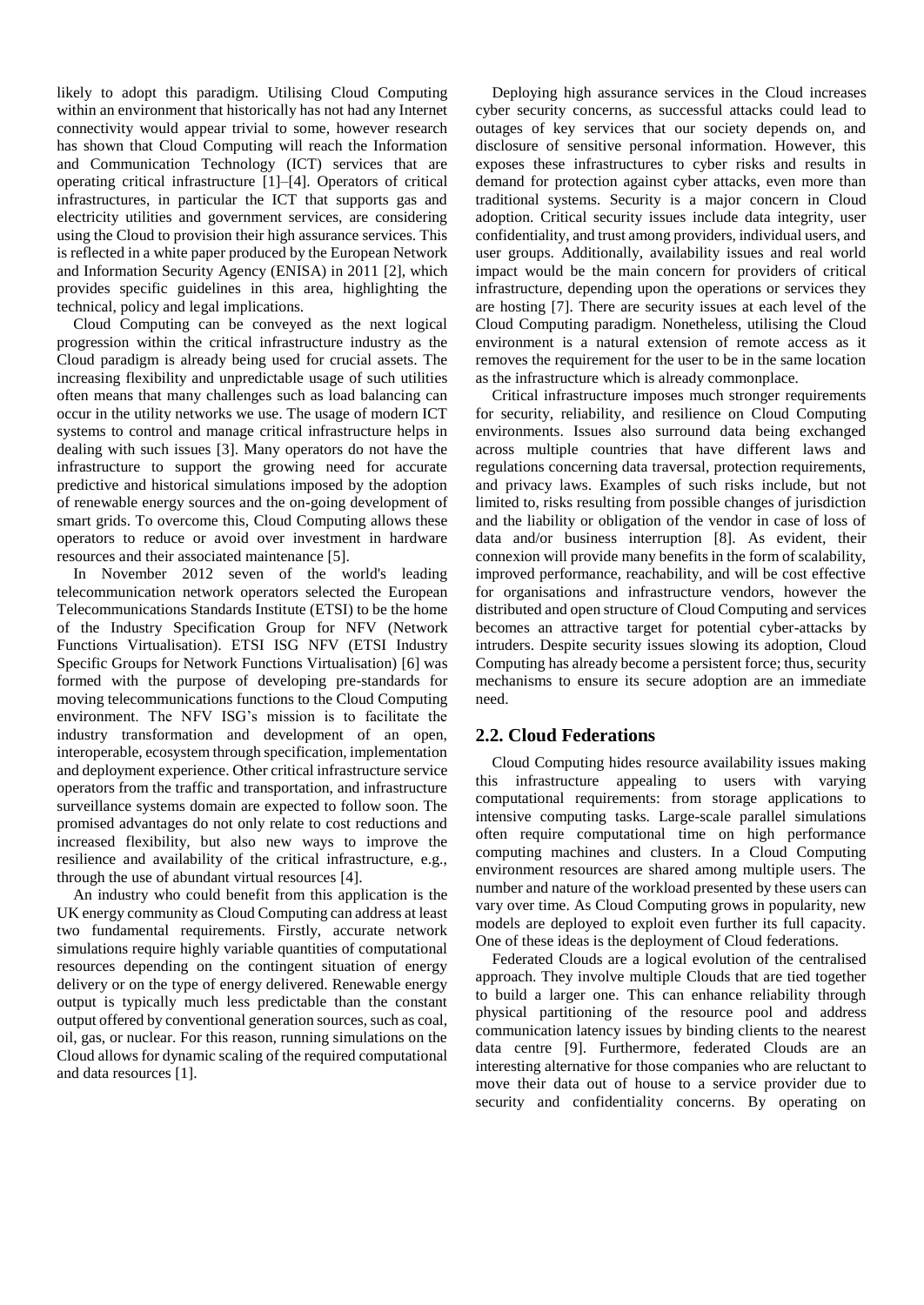likely to adopt this paradigm. Utilising Cloud Computing within an environment that historically has not had any Internet connectivity would appear trivial to some, however research has shown that Cloud Computing will reach the Information and Communication Technology (ICT) services that are operating critical infrastructure [1]–[4]. Operators of critical infrastructures, in particular the ICT that supports gas and electricity utilities and government services, are considering using the Cloud to provision their high assurance services. This is reflected in a white paper produced by the European Network and Information Security Agency (ENISA) in 2011 [2], which provides specific guidelines in this area, highlighting the technical, policy and legal implications.

Cloud Computing can be conveyed as the next logical progression within the critical infrastructure industry as the Cloud paradigm is already being used for crucial assets. The increasing flexibility and unpredictable usage of such utilities often means that many challenges such as load balancing can occur in the utility networks we use. The usage of modern ICT systems to control and manage critical infrastructure helps in dealing with such issues [3]. Many operators do not have the infrastructure to support the growing need for accurate predictive and historical simulations imposed by the adoption of renewable energy sources and the on-going development of smart grids. To overcome this, Cloud Computing allows these operators to reduce or avoid over investment in hardware resources and their associated maintenance [5].

In November 2012 seven of the world's leading telecommunication network operators selected the European Telecommunications Standards Institute (ETSI) to be the home of the Industry Specification Group for NFV (Network Functions Virtualisation). ETSI ISG NFV (ETSI Industry Specific Groups for Network Functions Virtualisation) [6] was formed with the purpose of developing pre-standards for moving telecommunications functions to the Cloud Computing environment. The NFV ISG's mission is to facilitate the industry transformation and development of an open, interoperable, ecosystem through specification, implementation and deployment experience. Other critical infrastructure service operators from the traffic and transportation, and infrastructure surveillance systems domain are expected to follow soon. The promised advantages do not only relate to cost reductions and increased flexibility, but also new ways to improve the resilience and availability of the critical infrastructure, e.g., through the use of abundant virtual resources [4].

An industry who could benefit from this application is the UK energy community as Cloud Computing can address at least two fundamental requirements. Firstly, accurate network simulations require highly variable quantities of computational resources depending on the contingent situation of energy delivery or on the type of energy delivered. Renewable energy output is typically much less predictable than the constant output offered by conventional generation sources, such as coal, oil, gas, or nuclear. For this reason, running simulations on the Cloud allows for dynamic scaling of the required computational and data resources [1].

Deploying high assurance services in the Cloud increases cyber security concerns, as successful attacks could lead to outages of key services that our society depends on, and disclosure of sensitive personal information. However, this exposes these infrastructures to cyber risks and results in demand for protection against cyber attacks, even more than traditional systems. Security is a major concern in Cloud adoption. Critical security issues include data integrity, user confidentiality, and trust among providers, individual users, and user groups. Additionally, availability issues and real world impact would be the main concern for providers of critical infrastructure, depending upon the operations or services they are hosting [7]. There are security issues at each level of the Cloud Computing paradigm. Nonetheless, utilising the Cloud environment is a natural extension of remote access as it removes the requirement for the user to be in the same location as the infrastructure which is already commonplace.

Critical infrastructure imposes much stronger requirements for security, reliability, and resilience on Cloud Computing environments. Issues also surround data being exchanged across multiple countries that have different laws and regulations concerning data traversal, protection requirements, and privacy laws. Examples of such risks include, but not limited to, risks resulting from possible changes of jurisdiction and the liability or obligation of the vendor in case of loss of data and/or business interruption [8]. As evident, their connexion will provide many benefits in the form of scalability, improved performance, reachability, and will be cost effective for organisations and infrastructure vendors, however the distributed and open structure of Cloud Computing and services becomes an attractive target for potential cyber-attacks by intruders. Despite security issues slowing its adoption, Cloud Computing has already become a persistent force; thus, security mechanisms to ensure its secure adoption are an immediate need.

### **2.2. Cloud Federations**

Cloud Computing hides resource availability issues making this infrastructure appealing to users with varying computational requirements: from storage applications to intensive computing tasks. Large-scale parallel simulations often require computational time on high performance computing machines and clusters. In a Cloud Computing environment resources are shared among multiple users. The number and nature of the workload presented by these users can vary over time. As Cloud Computing grows in popularity, new models are deployed to exploit even further its full capacity. One of these ideas is the deployment of Cloud federations.

Federated Clouds are a logical evolution of the centralised approach. They involve multiple Clouds that are tied together to build a larger one. This can enhance reliability through physical partitioning of the resource pool and address communication latency issues by binding clients to the nearest data centre [9]. Furthermore, federated Clouds are an interesting alternative for those companies who are reluctant to move their data out of house to a service provider due to security and confidentiality concerns. By operating on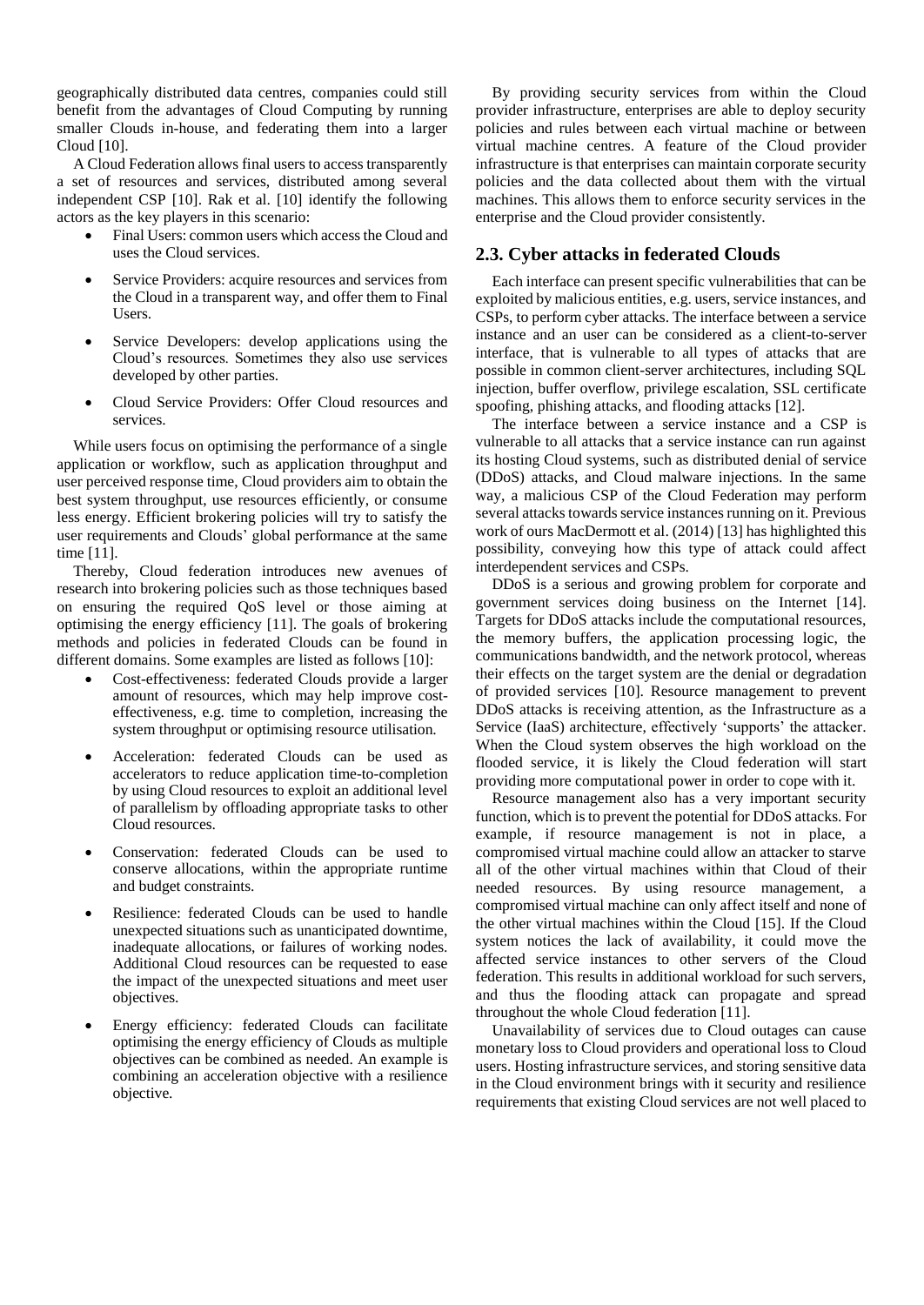geographically distributed data centres, companies could still benefit from the advantages of Cloud Computing by running smaller Clouds in-house, and federating them into a larger Cloud [10].

A Cloud Federation allows final users to access transparently a set of resources and services, distributed among several independent CSP [10]. Rak et al. [10] identify the following actors as the key players in this scenario:

- Final Users: common users which access the Cloud and uses the Cloud services.
- Service Providers: acquire resources and services from the Cloud in a transparent way, and offer them to Final Users.
- Service Developers: develop applications using the Cloud's resources. Sometimes they also use services developed by other parties.
- Cloud Service Providers: Offer Cloud resources and services.

While users focus on optimising the performance of a single application or workflow, such as application throughput and user perceived response time, Cloud providers aim to obtain the best system throughput, use resources efficiently, or consume less energy. Efficient brokering policies will try to satisfy the user requirements and Clouds' global performance at the same time [11].

Thereby, Cloud federation introduces new avenues of research into brokering policies such as those techniques based on ensuring the required QoS level or those aiming at optimising the energy efficiency [11]. The goals of brokering methods and policies in federated Clouds can be found in different domains. Some examples are listed as follows [10]:

- Cost-effectiveness: federated Clouds provide a larger amount of resources, which may help improve costeffectiveness, e.g. time to completion, increasing the system throughput or optimising resource utilisation.
- Acceleration: federated Clouds can be used as accelerators to reduce application time-to-completion by using Cloud resources to exploit an additional level of parallelism by offloading appropriate tasks to other Cloud resources.
- Conservation: federated Clouds can be used to conserve allocations, within the appropriate runtime and budget constraints.
- Resilience: federated Clouds can be used to handle unexpected situations such as unanticipated downtime, inadequate allocations, or failures of working nodes. Additional Cloud resources can be requested to ease the impact of the unexpected situations and meet user objectives.
- Energy efficiency: federated Clouds can facilitate optimising the energy efficiency of Clouds as multiple objectives can be combined as needed. An example is combining an acceleration objective with a resilience objective.

By providing security services from within the Cloud provider infrastructure, enterprises are able to deploy security policies and rules between each virtual machine or between virtual machine centres. A feature of the Cloud provider infrastructure is that enterprises can maintain corporate security policies and the data collected about them with the virtual machines. This allows them to enforce security services in the enterprise and the Cloud provider consistently.

### **2.3. Cyber attacks in federated Clouds**

Each interface can present specific vulnerabilities that can be exploited by malicious entities, e.g. users, service instances, and CSPs, to perform cyber attacks. The interface between a service instance and an user can be considered as a client-to-server interface, that is vulnerable to all types of attacks that are possible in common client-server architectures, including SQL injection, buffer overflow, privilege escalation, SSL certificate spoofing, phishing attacks, and flooding attacks [12].

The interface between a service instance and a CSP is vulnerable to all attacks that a service instance can run against its hosting Cloud systems, such as distributed denial of service (DDoS) attacks, and Cloud malware injections. In the same way, a malicious CSP of the Cloud Federation may perform several attacks towards service instances running on it. Previous work of ours MacDermott et al. (2014) [13] has highlighted this possibility, conveying how this type of attack could affect interdependent services and CSPs.

DDoS is a serious and growing problem for corporate and government services doing business on the Internet [14]. Targets for DDoS attacks include the computational resources, the memory buffers, the application processing logic, the communications bandwidth, and the network protocol, whereas their effects on the target system are the denial or degradation of provided services [10]. Resource management to prevent DDoS attacks is receiving attention, as the Infrastructure as a Service (IaaS) architecture, effectively 'supports' the attacker. When the Cloud system observes the high workload on the flooded service, it is likely the Cloud federation will start providing more computational power in order to cope with it.

Resource management also has a very important security function, which is to prevent the potential for DDoS attacks. For example, if resource management is not in place, a compromised virtual machine could allow an attacker to starve all of the other virtual machines within that Cloud of their needed resources. By using resource management, a compromised virtual machine can only affect itself and none of the other virtual machines within the Cloud [15]. If the Cloud system notices the lack of availability, it could move the affected service instances to other servers of the Cloud federation. This results in additional workload for such servers, and thus the flooding attack can propagate and spread throughout the whole Cloud federation [11].

Unavailability of services due to Cloud outages can cause monetary loss to Cloud providers and operational loss to Cloud users. Hosting infrastructure services, and storing sensitive data in the Cloud environment brings with it security and resilience requirements that existing Cloud services are not well placed to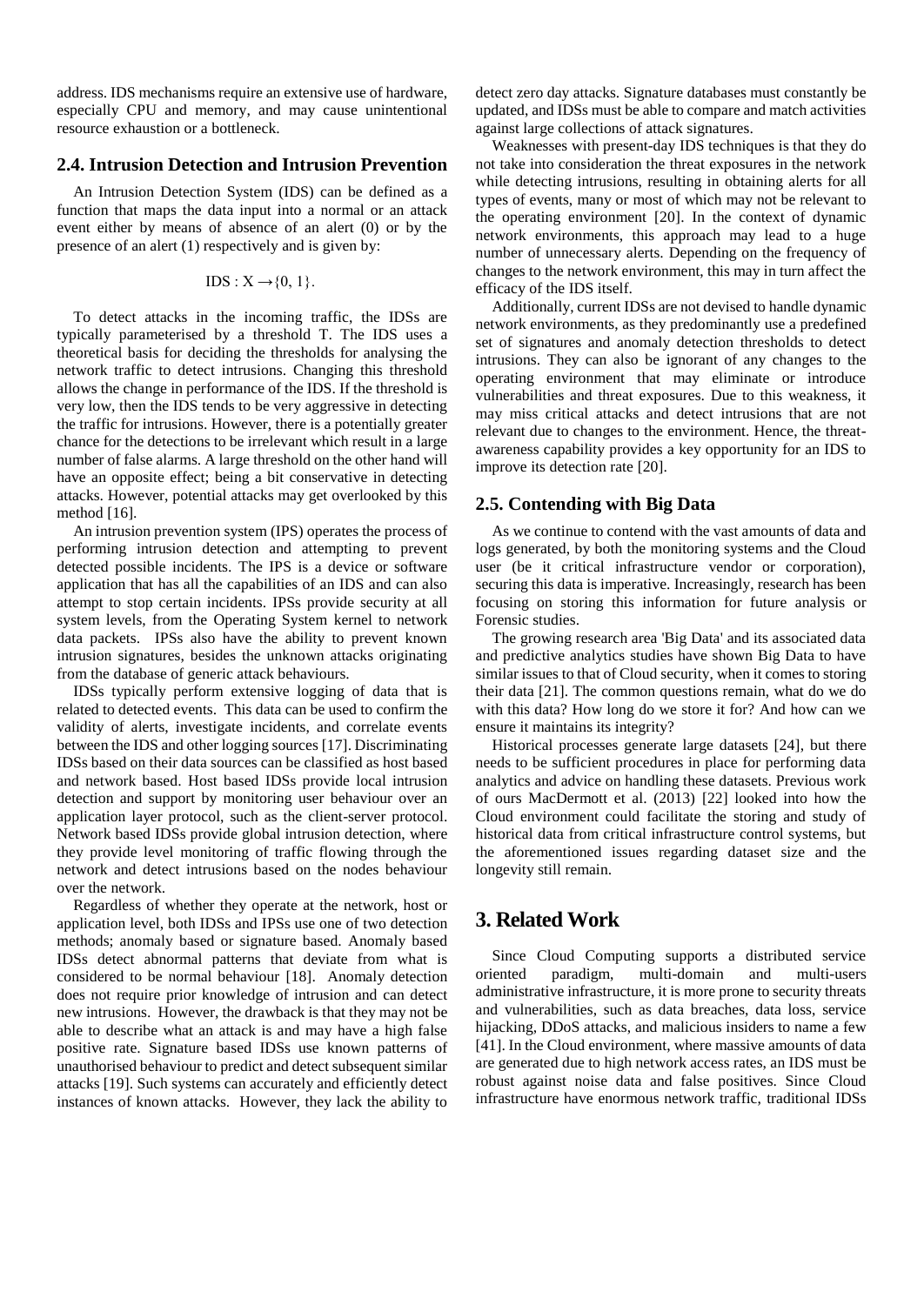address. IDS mechanisms require an extensive use of hardware, especially CPU and memory, and may cause unintentional resource exhaustion or a bottleneck.

#### **2.4. Intrusion Detection and Intrusion Prevention**

An Intrusion Detection System (IDS) can be defined as a function that maps the data input into a normal or an attack event either by means of absence of an alert (0) or by the presence of an alert (1) respectively and is given by:

$$
IDS: X \rightarrow \{0, 1\}.
$$

To detect attacks in the incoming traffic, the IDSs are typically parameterised by a threshold T. The IDS uses a theoretical basis for deciding the thresholds for analysing the network traffic to detect intrusions. Changing this threshold allows the change in performance of the IDS. If the threshold is very low, then the IDS tends to be very aggressive in detecting the traffic for intrusions. However, there is a potentially greater chance for the detections to be irrelevant which result in a large number of false alarms. A large threshold on the other hand will have an opposite effect; being a bit conservative in detecting attacks. However, potential attacks may get overlooked by this method [16].

An intrusion prevention system (IPS) operates the process of performing intrusion detection and attempting to prevent detected possible incidents. The IPS is a device or software application that has all the capabilities of an IDS and can also attempt to stop certain incidents. IPSs provide security at all system levels, from the Operating System kernel to network data packets. IPSs also have the ability to prevent known intrusion signatures, besides the unknown attacks originating from the database of generic attack behaviours.

IDSs typically perform extensive logging of data that is related to detected events. This data can be used to confirm the validity of alerts, investigate incidents, and correlate events between the IDS and other logging sources [17]. Discriminating IDSs based on their data sources can be classified as host based and network based. Host based IDSs provide local intrusion detection and support by monitoring user behaviour over an application layer protocol, such as the client-server protocol. Network based IDSs provide global intrusion detection, where they provide level monitoring of traffic flowing through the network and detect intrusions based on the nodes behaviour over the network.

Regardless of whether they operate at the network, host or application level, both IDSs and IPSs use one of two detection methods; anomaly based or signature based. Anomaly based IDSs detect abnormal patterns that deviate from what is considered to be normal behaviour [18]. Anomaly detection does not require prior knowledge of intrusion and can detect new intrusions. However, the drawback is that they may not be able to describe what an attack is and may have a high false positive rate. Signature based IDSs use known patterns of unauthorised behaviour to predict and detect subsequent similar attacks [19]. Such systems can accurately and efficiently detect instances of known attacks. However, they lack the ability to

detect zero day attacks. Signature databases must constantly be updated, and IDSs must be able to compare and match activities against large collections of attack signatures.

Weaknesses with present-day IDS techniques is that they do not take into consideration the threat exposures in the network while detecting intrusions, resulting in obtaining alerts for all types of events, many or most of which may not be relevant to the operating environment [20]. In the context of dynamic network environments, this approach may lead to a huge number of unnecessary alerts. Depending on the frequency of changes to the network environment, this may in turn affect the efficacy of the IDS itself.

Additionally, current IDSs are not devised to handle dynamic network environments, as they predominantly use a predefined set of signatures and anomaly detection thresholds to detect intrusions. They can also be ignorant of any changes to the operating environment that may eliminate or introduce vulnerabilities and threat exposures. Due to this weakness, it may miss critical attacks and detect intrusions that are not relevant due to changes to the environment. Hence, the threatawareness capability provides a key opportunity for an IDS to improve its detection rate [20].

### **2.5. Contending with Big Data**

As we continue to contend with the vast amounts of data and logs generated, by both the monitoring systems and the Cloud user (be it critical infrastructure vendor or corporation), securing this data is imperative. Increasingly, research has been focusing on storing this information for future analysis or Forensic studies.

The growing research area 'Big Data' and its associated data and predictive analytics studies have shown Big Data to have similar issues to that of Cloud security, when it comes to storing their data [21]. The common questions remain, what do we do with this data? How long do we store it for? And how can we ensure it maintains its integrity?

Historical processes generate large datasets [24], but there needs to be sufficient procedures in place for performing data analytics and advice on handling these datasets. Previous work of ours MacDermott et al. (2013) [22] looked into how the Cloud environment could facilitate the storing and study of historical data from critical infrastructure control systems, but the aforementioned issues regarding dataset size and the longevity still remain.

# **3. Related Work**

Since Cloud Computing supports a distributed service oriented paradigm, multi-domain and multi-users administrative infrastructure, it is more prone to security threats and vulnerabilities, such as data breaches, data loss, service hijacking, DDoS attacks, and malicious insiders to name a few [41]. In the Cloud environment, where massive amounts of data are generated due to high network access rates, an IDS must be robust against noise data and false positives. Since Cloud infrastructure have enormous network traffic, traditional IDSs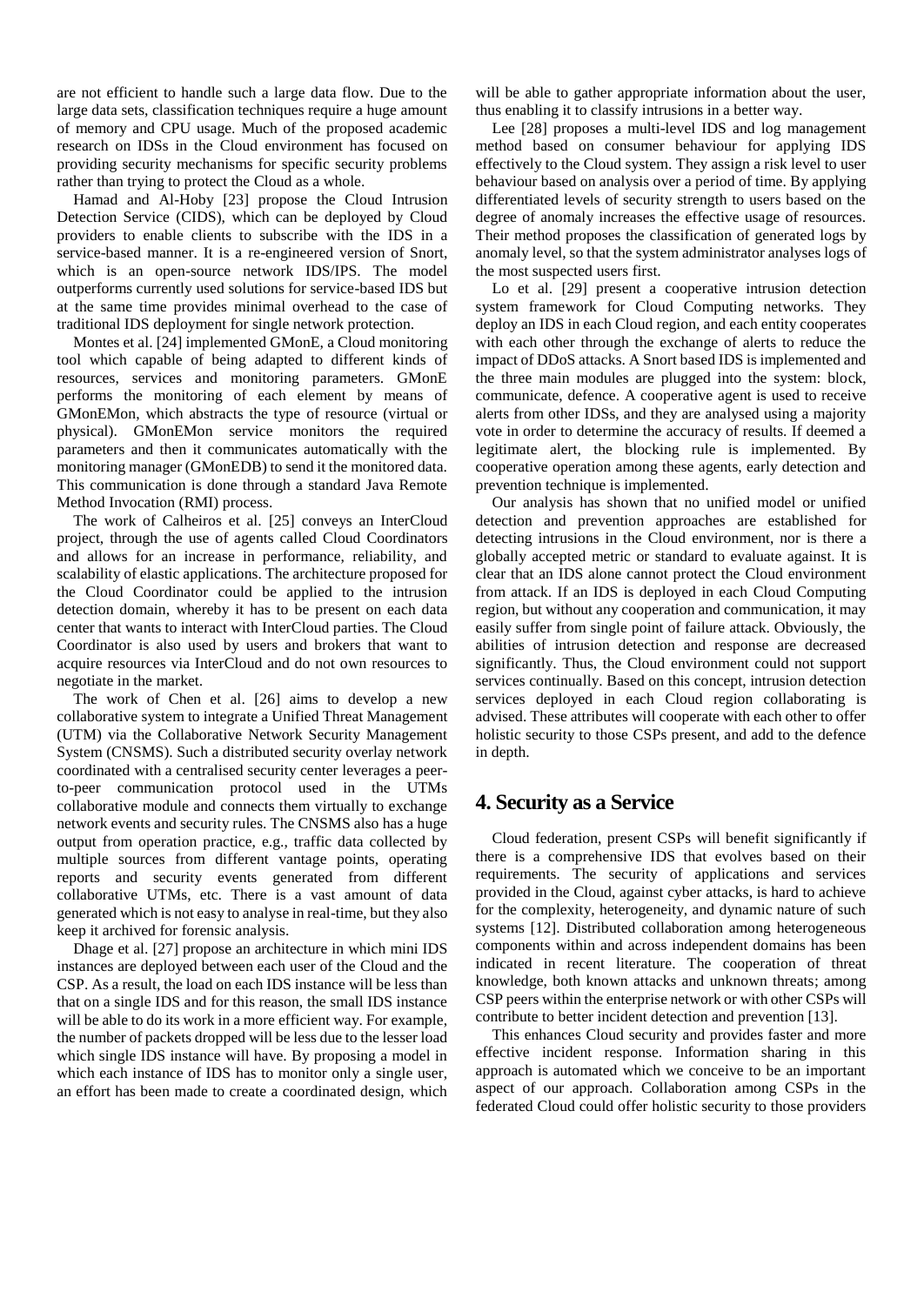are not efficient to handle such a large data flow. Due to the large data sets, classification techniques require a huge amount of memory and CPU usage. Much of the proposed academic research on IDSs in the Cloud environment has focused on providing security mechanisms for specific security problems rather than trying to protect the Cloud as a whole.

Hamad and Al-Hoby [23] propose the Cloud Intrusion Detection Service (CIDS), which can be deployed by Cloud providers to enable clients to subscribe with the IDS in a service-based manner. It is a re-engineered version of Snort, which is an open-source network IDS/IPS. The model outperforms currently used solutions for service-based IDS but at the same time provides minimal overhead to the case of traditional IDS deployment for single network protection.

Montes et al. [24] implemented GMonE, a Cloud monitoring tool which capable of being adapted to different kinds of resources, services and monitoring parameters. GMonE performs the monitoring of each element by means of GMonEMon, which abstracts the type of resource (virtual or physical). GMonEMon service monitors the required parameters and then it communicates automatically with the monitoring manager (GMonEDB) to send it the monitored data. This communication is done through a standard Java Remote Method Invocation (RMI) process.

The work of Calheiros et al. [25] conveys an InterCloud project, through the use of agents called Cloud Coordinators and allows for an increase in performance, reliability, and scalability of elastic applications. The architecture proposed for the Cloud Coordinator could be applied to the intrusion detection domain, whereby it has to be present on each data center that wants to interact with InterCloud parties. The Cloud Coordinator is also used by users and brokers that want to acquire resources via InterCloud and do not own resources to negotiate in the market.

The work of Chen et al. [26] aims to develop a new collaborative system to integrate a Unified Threat Management (UTM) via the Collaborative Network Security Management System (CNSMS). Such a distributed security overlay network coordinated with a centralised security center leverages a peerto-peer communication protocol used in the UTMs collaborative module and connects them virtually to exchange network events and security rules. The CNSMS also has a huge output from operation practice, e.g., traffic data collected by multiple sources from different vantage points, operating reports and security events generated from different collaborative UTMs, etc. There is a vast amount of data generated which is not easy to analyse in real-time, but they also keep it archived for forensic analysis.

Dhage et al. [27] propose an architecture in which mini IDS instances are deployed between each user of the Cloud and the CSP. As a result, the load on each IDS instance will be less than that on a single IDS and for this reason, the small IDS instance will be able to do its work in a more efficient way. For example, the number of packets dropped will be less due to the lesser load which single IDS instance will have. By proposing a model in which each instance of IDS has to monitor only a single user, an effort has been made to create a coordinated design, which

will be able to gather appropriate information about the user, thus enabling it to classify intrusions in a better way.

Lee [28] proposes a multi-level IDS and log management method based on consumer behaviour for applying IDS effectively to the Cloud system. They assign a risk level to user behaviour based on analysis over a period of time. By applying differentiated levels of security strength to users based on the degree of anomaly increases the effective usage of resources. Their method proposes the classification of generated logs by anomaly level, so that the system administrator analyses logs of the most suspected users first.

Lo et al. [29] present a cooperative intrusion detection system framework for Cloud Computing networks. They deploy an IDS in each Cloud region, and each entity cooperates with each other through the exchange of alerts to reduce the impact of DDoS attacks. A Snort based IDS is implemented and the three main modules are plugged into the system: block, communicate, defence. A cooperative agent is used to receive alerts from other IDSs, and they are analysed using a majority vote in order to determine the accuracy of results. If deemed a legitimate alert, the blocking rule is implemented. By cooperative operation among these agents, early detection and prevention technique is implemented.

Our analysis has shown that no unified model or unified detection and prevention approaches are established for detecting intrusions in the Cloud environment, nor is there a globally accepted metric or standard to evaluate against. It is clear that an IDS alone cannot protect the Cloud environment from attack. If an IDS is deployed in each Cloud Computing region, but without any cooperation and communication, it may easily suffer from single point of failure attack. Obviously, the abilities of intrusion detection and response are decreased significantly. Thus, the Cloud environment could not support services continually. Based on this concept, intrusion detection services deployed in each Cloud region collaborating is advised. These attributes will cooperate with each other to offer holistic security to those CSPs present, and add to the defence in depth.

# **4. Security as a Service**

Cloud federation, present CSPs will benefit significantly if there is a comprehensive IDS that evolves based on their requirements. The security of applications and services provided in the Cloud, against cyber attacks, is hard to achieve for the complexity, heterogeneity, and dynamic nature of such systems [12]. Distributed collaboration among heterogeneous components within and across independent domains has been indicated in recent literature. The cooperation of threat knowledge, both known attacks and unknown threats; among CSP peers within the enterprise network or with other CSPs will contribute to better incident detection and prevention [13].

This enhances Cloud security and provides faster and more effective incident response. Information sharing in this approach is automated which we conceive to be an important aspect of our approach. Collaboration among CSPs in the federated Cloud could offer holistic security to those providers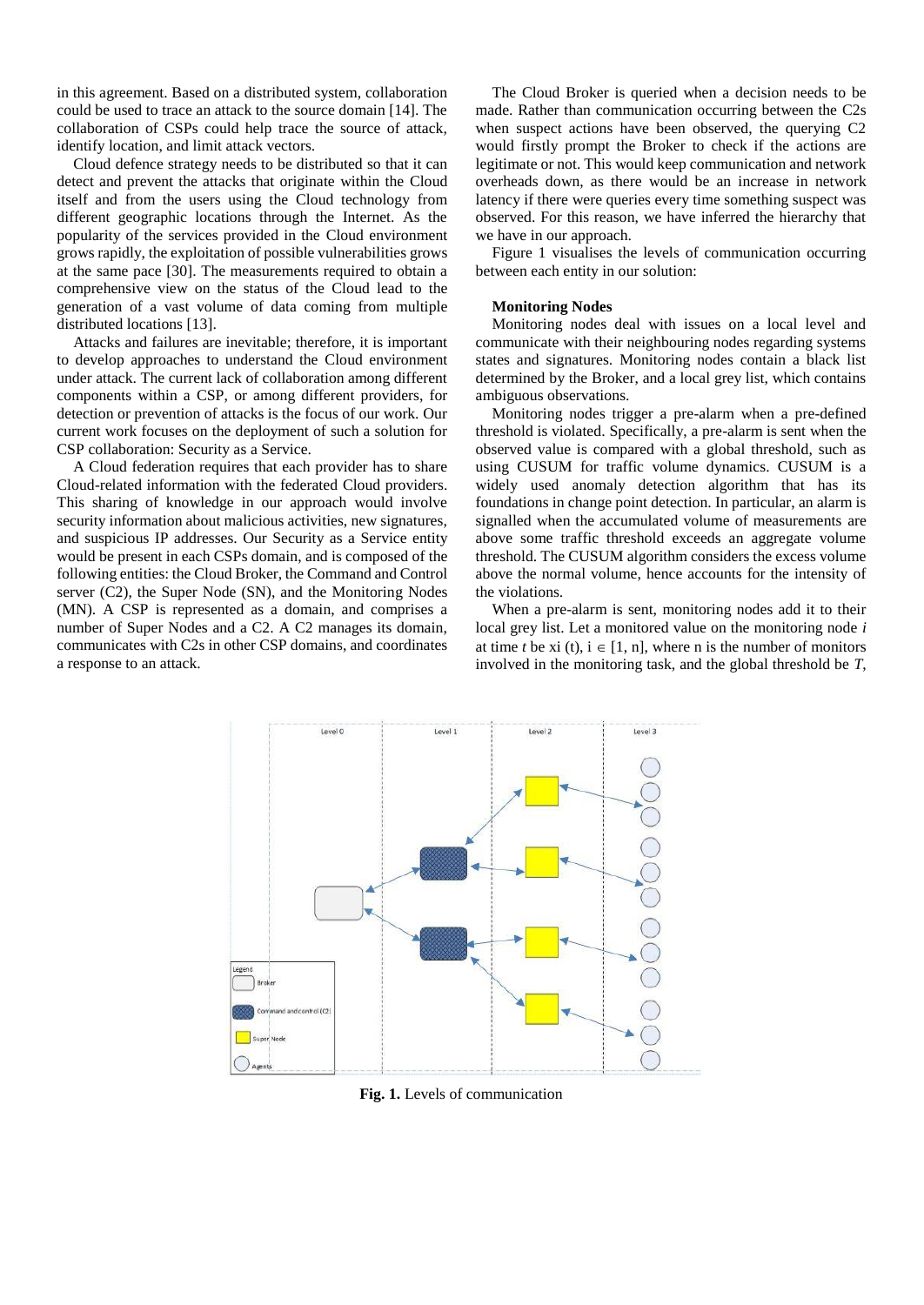in this agreement. Based on a distributed system, collaboration could be used to trace an attack to the source domain [14]. The collaboration of CSPs could help trace the source of attack, identify location, and limit attack vectors.

Cloud defence strategy needs to be distributed so that it can detect and prevent the attacks that originate within the Cloud itself and from the users using the Cloud technology from different geographic locations through the Internet. As the popularity of the services provided in the Cloud environment grows rapidly, the exploitation of possible vulnerabilities grows at the same pace [30]. The measurements required to obtain a comprehensive view on the status of the Cloud lead to the generation of a vast volume of data coming from multiple distributed locations [13].

Attacks and failures are inevitable; therefore, it is important to develop approaches to understand the Cloud environment under attack. The current lack of collaboration among different components within a CSP, or among different providers, for detection or prevention of attacks is the focus of our work. Our current work focuses on the deployment of such a solution for CSP collaboration: Security as a Service.

A Cloud federation requires that each provider has to share Cloud-related information with the federated Cloud providers. This sharing of knowledge in our approach would involve security information about malicious activities, new signatures, and suspicious IP addresses. Our Security as a Service entity would be present in each CSPs domain, and is composed of the following entities: the Cloud Broker, the Command and Control server (C2), the Super Node (SN), and the Monitoring Nodes (MN). A CSP is represented as a domain, and comprises a number of Super Nodes and a C2. A C2 manages its domain, communicates with C2s in other CSP domains, and coordinates a response to an attack.

The Cloud Broker is queried when a decision needs to be made. Rather than communication occurring between the C2s when suspect actions have been observed, the querying C2 would firstly prompt the Broker to check if the actions are legitimate or not. This would keep communication and network overheads down, as there would be an increase in network latency if there were queries every time something suspect was observed. For this reason, we have inferred the hierarchy that we have in our approach.

Figure 1 visualises the levels of communication occurring between each entity in our solution:

#### **Monitoring Nodes**

Monitoring nodes deal with issues on a local level and communicate with their neighbouring nodes regarding systems states and signatures. Monitoring nodes contain a black list determined by the Broker, and a local grey list, which contains ambiguous observations.

Monitoring nodes trigger a pre-alarm when a pre-defined threshold is violated. Specifically, a pre-alarm is sent when the observed value is compared with a global threshold, such as using CUSUM for traffic volume dynamics. CUSUM is a widely used anomaly detection algorithm that has its foundations in change point detection. In particular, an alarm is signalled when the accumulated volume of measurements are above some traffic threshold exceeds an aggregate volume threshold. The CUSUM algorithm considers the excess volume above the normal volume, hence accounts for the intensity of the violations.

When a pre-alarm is sent, monitoring nodes add it to their local grey list. Let a monitored value on the monitoring node *i* at time *t* be xi (t),  $i \in [1, n]$ , where n is the number of monitors involved in the monitoring task, and the global threshold be *T*,



**Fig. 1.** Levels of communication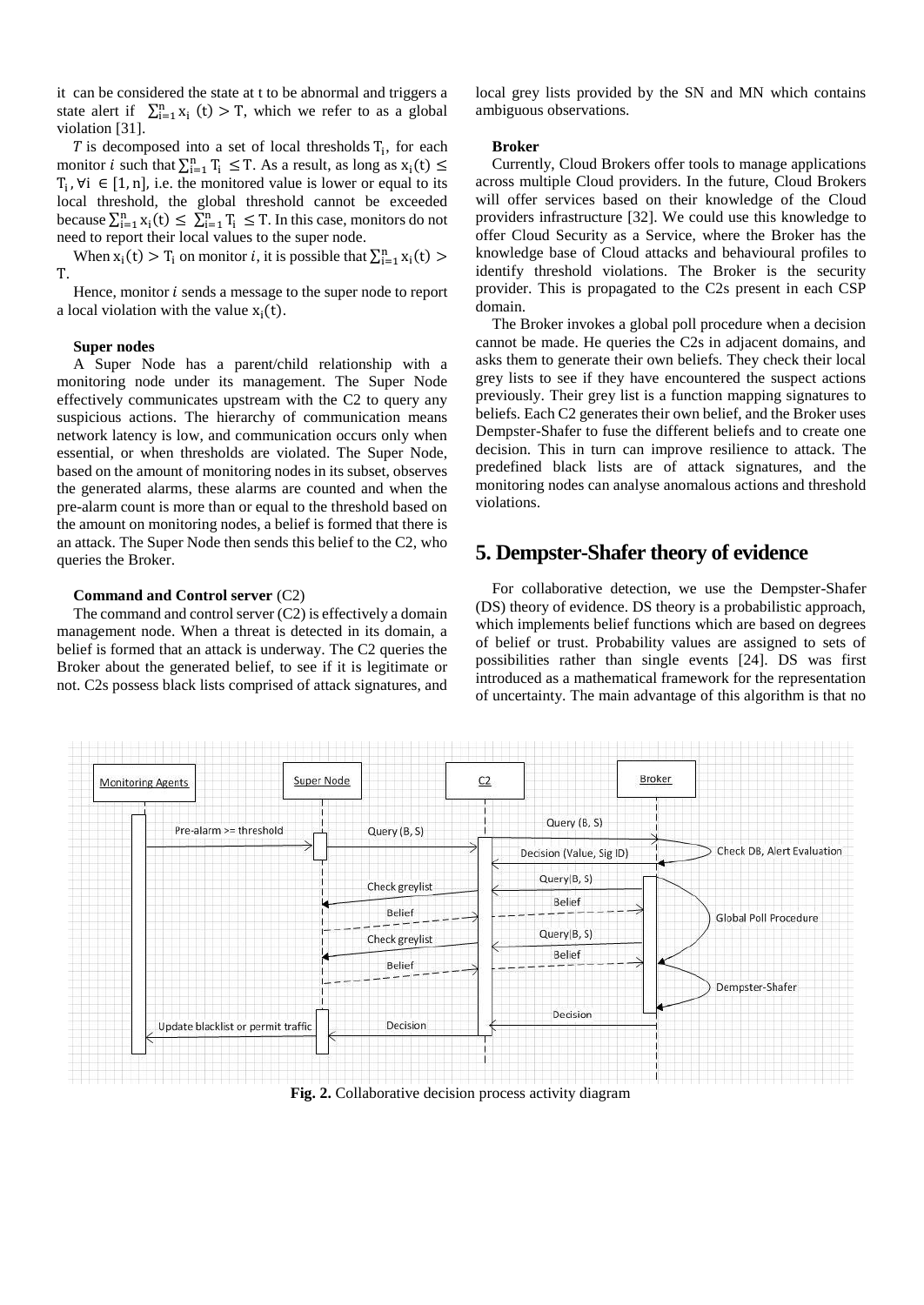it can be considered the state at t to be abnormal and triggers a state alert if  $\sum_{i=1}^{n} x_i(t) > T$ , which we refer to as a global violation [31].

 $T$  is decomposed into a set of local thresholds  $T_i$ , for each monitor *i* such that  $\sum_{i=1}^{n} T_i \leq T$ . As a result, as long as  $x_i(t) \leq T$  $T_i$ ,  $\forall i \in [1, n]$ , i.e. the monitored value is lower or equal to its local threshold, the global threshold cannot be exceeded because  $\sum_{i=1}^{n} x_i(t) \leq \sum_{i=1}^{n} T_i \leq T$ . In this case, monitors do not need to report their local values to the super node.

When  $x_i(t) > T_i$  on monitor *i*, it is possible that  $\sum_{i=1}^{n} x_i(t)$ T.

Hence, monitor  $i$  sends a message to the super node to report a local violation with the value  $x_i(t)$ .

#### **Super nodes**

A Super Node has a parent/child relationship with a monitoring node under its management. The Super Node effectively communicates upstream with the C2 to query any suspicious actions. The hierarchy of communication means network latency is low, and communication occurs only when essential, or when thresholds are violated. The Super Node, based on the amount of monitoring nodes in its subset, observes the generated alarms, these alarms are counted and when the pre-alarm count is more than or equal to the threshold based on the amount on monitoring nodes, a belief is formed that there is an attack. The Super Node then sends this belief to the C2, who queries the Broker.

#### **Command and Control server** (C2)

The command and control server (C2) is effectively a domain management node. When a threat is detected in its domain, a belief is formed that an attack is underway. The C2 queries the Broker about the generated belief, to see if it is legitimate or not. C2s possess black lists comprised of attack signatures, and

local grey lists provided by the SN and MN which contains ambiguous observations.

#### **Broker**

Currently, Cloud Brokers offer tools to manage applications across multiple Cloud providers. In the future, Cloud Brokers will offer services based on their knowledge of the Cloud providers infrastructure [32]. We could use this knowledge to offer Cloud Security as a Service, where the Broker has the knowledge base of Cloud attacks and behavioural profiles to identify threshold violations. The Broker is the security provider. This is propagated to the C2s present in each CSP domain.

The Broker invokes a global poll procedure when a decision cannot be made. He queries the C2s in adjacent domains, and asks them to generate their own beliefs. They check their local grey lists to see if they have encountered the suspect actions previously. Their grey list is a function mapping signatures to beliefs. Each C2 generates their own belief, and the Broker uses Dempster-Shafer to fuse the different beliefs and to create one decision. This in turn can improve resilience to attack. The predefined black lists are of attack signatures, and the monitoring nodes can analyse anomalous actions and threshold violations.

## **5. Dempster-Shafer theory of evidence**

For collaborative detection, we use the Dempster-Shafer (DS) theory of evidence. DS theory is a probabilistic approach, which implements belief functions which are based on degrees of belief or trust. Probability values are assigned to sets of possibilities rather than single events [24]. DS was first introduced as a mathematical framework for the representation of uncertainty. The main advantage of this algorithm is that no



**Fig. 2.** Collaborative decision process activity diagram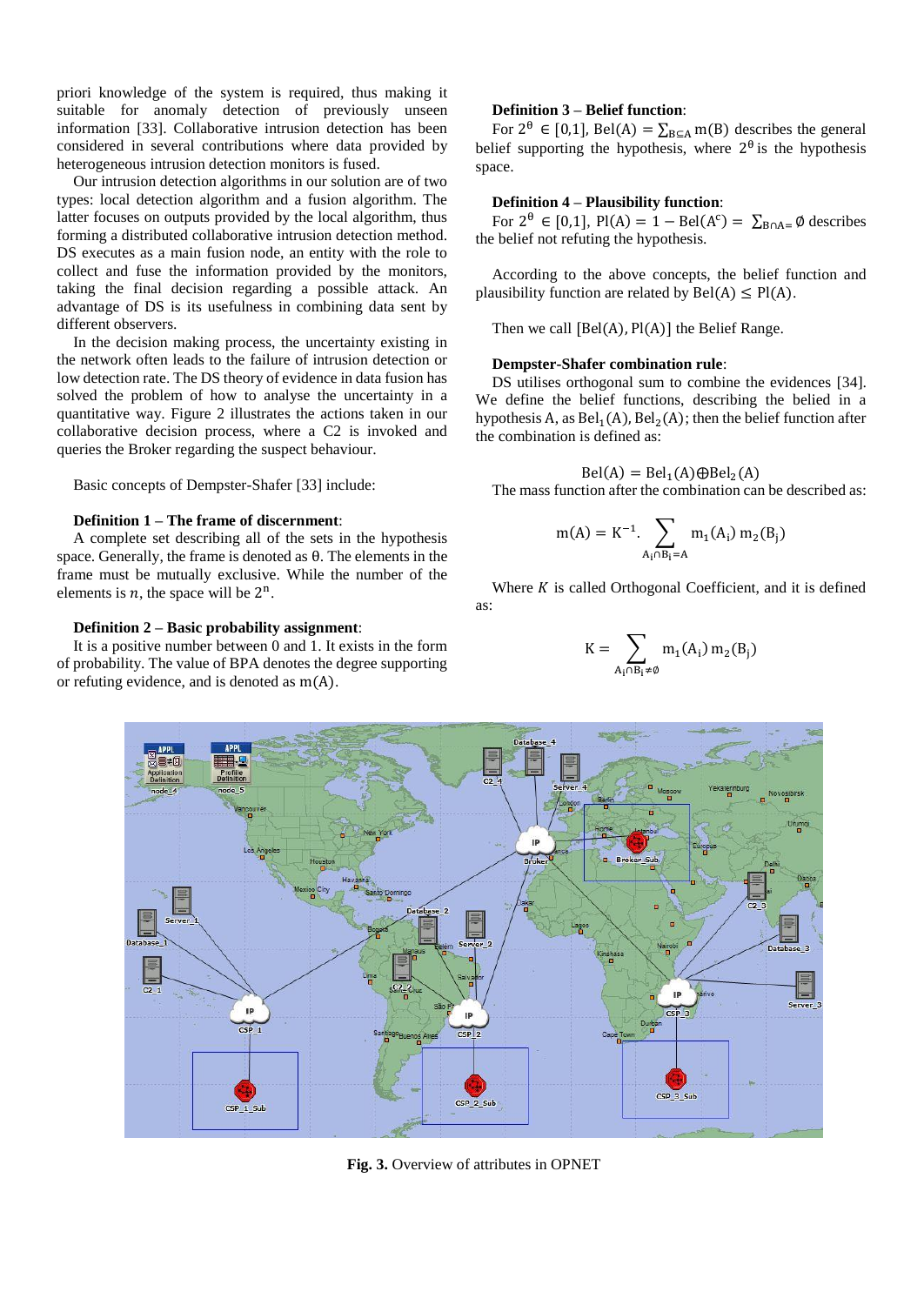priori knowledge of the system is required, thus making it suitable for anomaly detection of previously unseen information [33]. Collaborative intrusion detection has been considered in several contributions where data provided by heterogeneous intrusion detection monitors is fused.

Our intrusion detection algorithms in our solution are of two types: local detection algorithm and a fusion algorithm. The latter focuses on outputs provided by the local algorithm, thus forming a distributed collaborative intrusion detection method. DS executes as a main fusion node, an entity with the role to collect and fuse the information provided by the monitors, taking the final decision regarding a possible attack. An advantage of DS is its usefulness in combining data sent by different observers.

In the decision making process, the uncertainty existing in the network often leads to the failure of intrusion detection or low detection rate. The DS theory of evidence in data fusion has solved the problem of how to analyse the uncertainty in a quantitative way. Figure 2 illustrates the actions taken in our collaborative decision process, where a C2 is invoked and queries the Broker regarding the suspect behaviour.

Basic concepts of Dempster-Shafer [33] include:

#### **Definition 1 – The frame of discernment**:

A complete set describing all of the sets in the hypothesis space. Generally, the frame is denoted as θ. The elements in the frame must be mutually exclusive. While the number of the elements is  $n$ , the space will be  $2^n$ .

#### **Definition 2 – Basic probability assignment**:

It is a positive number between 0 and 1. It exists in the form of probability. The value of BPA denotes the degree supporting or refuting evidence, and is denoted as m(A).

### **Definition 3 – Belief function**:

For  $2^{\theta} \in [0,1]$ , Bel(A) =  $\sum_{B \subseteq A} m(B)$  describes the general belief supporting the hypothesis, where  $2^{\theta}$  is the hypothesis space.

#### **Definition 4 – Plausibility function**:

For  $2^{\theta} \in [0,1]$ , Pl(A) = 1 – Bel(A<sup>c</sup>) =  $\sum_{B \cap A=} \emptyset$  describes the belief not refuting the hypothesis.

According to the above concepts, the belief function and plausibility function are related by  $Bel(A) \leq Pl(A)$ .

Then we call  $[Bel(A), Pl(A)]$  the Belief Range.

#### **Dempster-Shafer combination rule**:

DS utilises orthogonal sum to combine the evidences [34]. We define the belief functions, describing the belied in a hypothesis A, as  $Bel_1(A)$ ,  $Bel_2(A)$ ; then the belief function after the combination is defined as:

$$
Bel(A) = Bel1(A) \oplus Bel2(A)
$$

The mass function after the combination can be described as:

$$
m(A) = K^{-1} \cdot \sum_{A_i \cap B_i = A} m_1(A_i) m_2(B_j)
$$

Where  $K$  is called Orthogonal Coefficient, and it is defined as:

$$
K = \sum_{A_i \cap B_i \neq \emptyset} m_1(A_i) m_2(B_j)
$$



**Fig. 3.** Overview of attributes in OPNET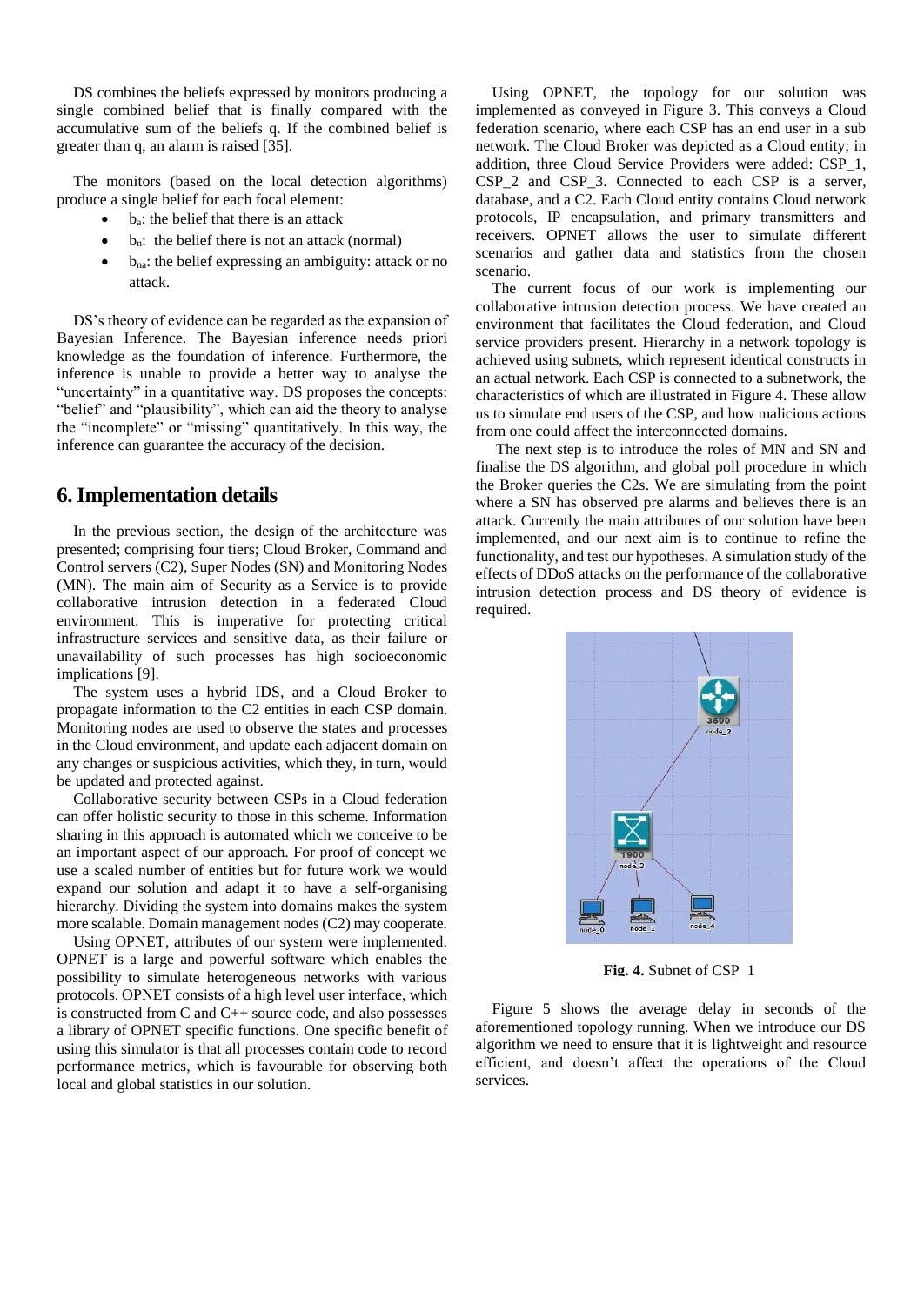DS combines the beliefs expressed by monitors producing a single combined belief that is finally compared with the accumulative sum of the beliefs q. If the combined belief is greater than q, an alarm is raised [35].

The monitors (based on the local detection algorithms) produce a single belief for each focal element:

- ba: the belief that there is an attack
- $b_n$ : the belief there is not an attack (normal)
- bna: the belief expressing an ambiguity: attack or no attack.

DS's theory of evidence can be regarded as the expansion of Bayesian Inference. The Bayesian inference needs priori knowledge as the foundation of inference. Furthermore, the inference is unable to provide a better way to analyse the "uncertainty" in a quantitative way. DS proposes the concepts: "belief" and "plausibility", which can aid the theory to analyse the "incomplete" or "missing" quantitatively. In this way, the inference can guarantee the accuracy of the decision.

## **6. Implementation details**

In the previous section, the design of the architecture was presented; comprising four tiers; Cloud Broker, Command and Control servers (C2), Super Nodes (SN) and Monitoring Nodes (MN). The main aim of Security as a Service is to provide collaborative intrusion detection in a federated Cloud environment. This is imperative for protecting critical infrastructure services and sensitive data, as their failure or unavailability of such processes has high socioeconomic implications [9].

The system uses a hybrid IDS, and a Cloud Broker to propagate information to the C2 entities in each CSP domain. Monitoring nodes are used to observe the states and processes in the Cloud environment, and update each adjacent domain on any changes or suspicious activities, which they, in turn, would be updated and protected against.

Collaborative security between CSPs in a Cloud federation can offer holistic security to those in this scheme. Information sharing in this approach is automated which we conceive to be an important aspect of our approach. For proof of concept we use a scaled number of entities but for future work we would expand our solution and adapt it to have a self-organising hierarchy. Dividing the system into domains makes the system more scalable. Domain management nodes (C2) may cooperate.

Using OPNET, attributes of our system were implemented. OPNET is a large and powerful software which enables the possibility to simulate heterogeneous networks with various protocols. OPNET consists of a high level user interface, which is constructed from C and C++ source code, and also possesses a library of OPNET specific functions. One specific benefit of using this simulator is that all processes contain code to record performance metrics, which is favourable for observing both local and global statistics in our solution.

Using OPNET, the topology for our solution was implemented as conveyed in Figure 3. This conveys a Cloud federation scenario, where each CSP has an end user in a sub network. The Cloud Broker was depicted as a Cloud entity; in addition, three Cloud Service Providers were added: CSP\_1, CSP 2 and CSP 3. Connected to each CSP is a server, database, and a C2. Each Cloud entity contains Cloud network protocols, IP encapsulation, and primary transmitters and receivers. OPNET allows the user to simulate different scenarios and gather data and statistics from the chosen scenario.

The current focus of our work is implementing our collaborative intrusion detection process. We have created an environment that facilitates the Cloud federation, and Cloud service providers present. Hierarchy in a network topology is achieved using subnets, which represent identical constructs in an actual network. Each CSP is connected to a subnetwork, the characteristics of which are illustrated in Figure 4. These allow us to simulate end users of the CSP, and how malicious actions from one could affect the interconnected domains.

The next step is to introduce the roles of MN and SN and finalise the DS algorithm, and global poll procedure in which the Broker queries the C2s. We are simulating from the point where a SN has observed pre alarms and believes there is an attack. Currently the main attributes of our solution have been implemented, and our next aim is to continue to refine the functionality, and test our hypotheses. A simulation study of the effects of DDoS attacks on the performance of the collaborative intrusion detection process and DS theory of evidence is required.



**Fig. 4.** Subnet of CSP\_1

Figure 5 shows the average delay in seconds of the aforementioned topology running. When we introduce our DS algorithm we need to ensure that it is lightweight and resource efficient, and doesn't affect the operations of the Cloud services.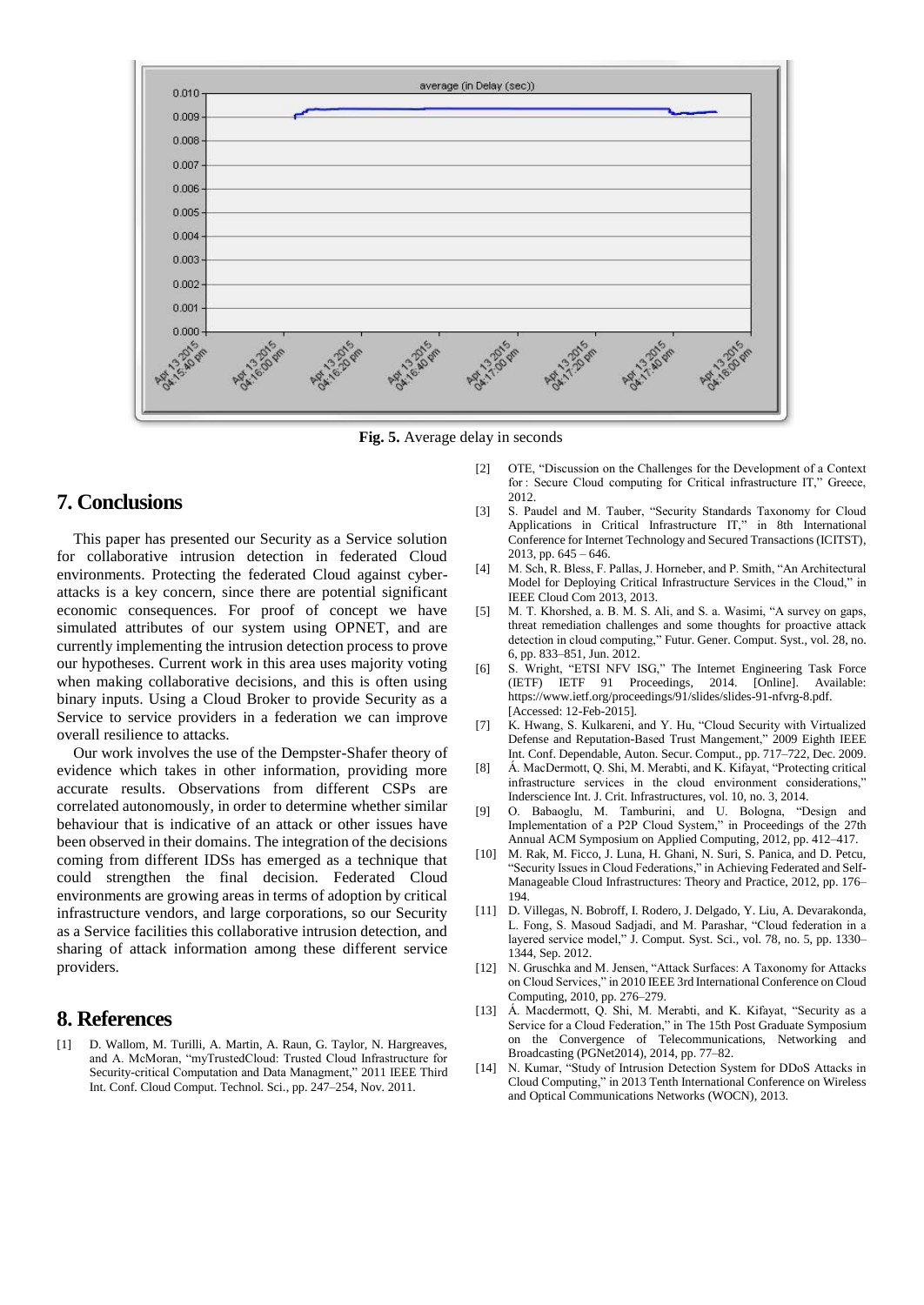

**Fig. 5.** Average delay in seconds

# **7. Conclusions**

This paper has presented our Security as a Service solution for collaborative intrusion detection in federated Cloud environments. Protecting the federated Cloud against cyberattacks is a key concern, since there are potential significant economic consequences. For proof of concept we have simulated attributes of our system using OPNET, and are currently implementing the intrusion detection process to prove our hypotheses. Current work in this area uses majority voting when making collaborative decisions, and this is often using binary inputs. Using a Cloud Broker to provide Security as a Service to service providers in a federation we can improve overall resilience to attacks.

Our work involves the use of the Dempster-Shafer theory of evidence which takes in other information, providing more accurate results. Observations from different CSPs are correlated autonomously, in order to determine whether similar behaviour that is indicative of an attack or other issues have been observed in their domains. The integration of the decisions coming from different IDSs has emerged as a technique that could strengthen the final decision. Federated Cloud environments are growing areas in terms of adoption by critical infrastructure vendors, and large corporations, so our Security as a Service facilities this collaborative intrusion detection, and sharing of attack information among these different service providers.

# **8. References**

[1] D. Wallom, M. Turilli, A. Martin, A. Raun, G. Taylor, N. Hargreaves, and A. McMoran, "myTrustedCloud: Trusted Cloud Infrastructure for Security-critical Computation and Data Managment," 2011 IEEE Third Int. Conf. Cloud Comput. Technol. Sci., pp. 247–254, Nov. 2011.

- [2] OTE, "Discussion on the Challenges for the Development of a Context for : Secure Cloud computing for Critical infrastructure IT," Greece, 2012.
- [3] S. Paudel and M. Tauber, "Security Standards Taxonomy for Cloud Applications in Critical Infrastructure IT," in 8th International Conference for Internet Technology and Secured Transactions (ICITST), 2013, pp. 645 – 646.
- [4] M. Sch, R. Bless, F. Pallas, J. Horneber, and P. Smith, "An Architectural Model for Deploying Critical Infrastructure Services in the Cloud," in IEEE Cloud Com 2013, 2013.
- [5] M. T. Khorshed, a. B. M. S. Ali, and S. a. Wasimi, "A survey on gaps, threat remediation challenges and some thoughts for proactive attack detection in cloud computing," Futur. Gener. Comput. Syst., vol. 28, no. 6, pp. 833–851, Jun. 2012.
- [6] S. Wright, "ETSI NFV ISG," The Internet Engineering Task Force (IETF) IETF 91 Proceedings, 2014. [Online]. Available: https://www.ietf.org/proceedings/91/slides/slides-91-nfvrg-8.pdf. [Accessed: 12-Feb-2015].
- [7] K. Hwang, S. Kulkareni, and Y. Hu, "Cloud Security with Virtualized Defense and Reputation-Based Trust Mangement," 2009 Eighth IEEE Int. Conf. Dependable, Auton. Secur. Comput., pp. 717–722, Dec. 2009.
- [8] Á. MacDermott, Q. Shi, M. Merabti, and K. Kifayat, "Protecting critical infrastructure services in the cloud environment considerations, Inderscience Int. J. Crit. Infrastructures, vol. 10, no. 3, 2014.
- [9] O. Babaoglu, M. Tamburini, and U. Bologna, "Design and Implementation of a P2P Cloud System," in Proceedings of the 27th Annual ACM Symposium on Applied Computing, 2012, pp. 412–417.
- [10] M. Rak, M. Ficco, J. Luna, H. Ghani, N. Suri, S. Panica, and D. Petcu, "Security Issues in Cloud Federations," in Achieving Federated and Self-Manageable Cloud Infrastructures: Theory and Practice, 2012, pp. 176– 194.
- [11] D. Villegas, N. Bobroff, I. Rodero, J. Delgado, Y. Liu, A. Devarakonda, L. Fong, S. Masoud Sadjadi, and M. Parashar, "Cloud federation in a layered service model," J. Comput. Syst. Sci., vol. 78, no. 5, pp. 1330– 1344, Sep. 2012.
- [12] N. Gruschka and M. Jensen, "Attack Surfaces: A Taxonomy for Attacks on Cloud Services," in 2010 IEEE 3rd International Conference on Cloud Computing, 2010, pp. 276–279.
- [13] Á. Macdermott, Q. Shi, M. Merabti, and K. Kifayat, "Security as a Service for a Cloud Federation," in The 15th Post Graduate Symposium on the Convergence of Telecommunications, Networking and Broadcasting (PGNet2014), 2014, pp. 77–82.
- [14] N. Kumar, "Study of Intrusion Detection System for DDoS Attacks in Cloud Computing," in 2013 Tenth International Conference on Wireless and Optical Communications Networks (WOCN), 2013.